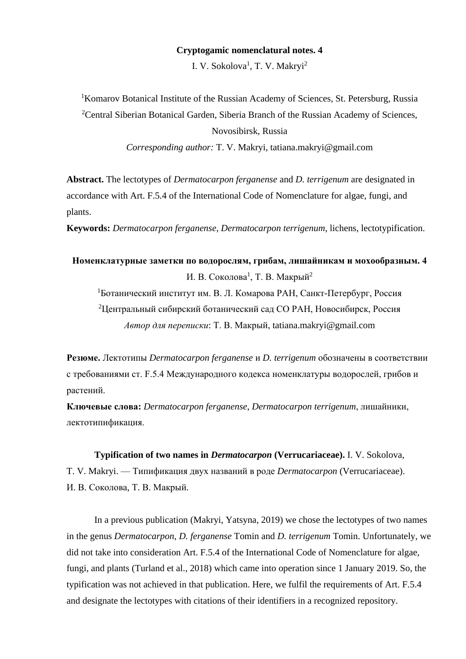## **Cryptogamic nomenclatural notes. 4**

I. V. Sokolova<sup>1</sup>, T. V. Makryi<sup>2</sup>

<sup>1</sup>Komarov Botanical Institute of the Russian Academy of Sciences, St. Petersburg, Russia <sup>2</sup>Central Siberian Botanical Garden, Siberia Branch of the Russian Academy of Sciences, Novosibirsk, Russia *Corresponding author:* T. V. Makryi, tatiana.makryi@gmail.com

**Abstract.** The lectotypes of *Dermatocarpon ferganense* and *D. terrigenum* are designated in accordance with Art. F.5.4 of the International Code of Nomenclature for algae, fungi, and plants.

**Keywords:** *Dermatocarpon ferganense*, *Dermatocarpon terrigenum*, lichens, lectotypification.

**Номенклатурные заметки по водорослям, грибам, лишайникам и мохообразным. 4** И. В. Соколова<sup>1</sup>, Т. В. Макрый<sup>2</sup> <sup>1</sup>Ботанический институт им. В. Л. Комарова РАН, Санкт-Петербург, Россия <sup>2</sup>Центральный сибирский ботанический сад СО РАН, Новосибирск, Россия

*Автор для переписки*: Т. В. Макрый, tatiana.makryi@gmail.com

**Резюме.** Лектотипы *Dermatocarpon ferganense* и *D. terrigenum* обозначены в соответствии с требованиями ст. F.5.4 Международного кодекса номенклатуры водорослей, грибов и растений.

**Ключевые слова:** *Dermatocarpon ferganense*, *Dermatocarpon terrigenum*, лишайники, лектотипификация.

## **Typification of two names in** *Dermatocarpon* **(Verrucariaceae).** I. V. Sokolova,

T. V. Makryi. — Типификация двух названий в роде *Dermatocarpon* (Verrucariaceae). И. В. Соколова, Т. В. Макрый.

In a previous publication (Makryi, Yatsyna, 2019) we chose the lectotypes of two names in the genus *Dermatocarpon*, *D. ferganense* Tomin and *D. terrigenum* Tomin. Unfortunately, we did not take into consideration Art. F.5.4 of the International Code of Nomenclature for algae, fungi, and plants (Turland et al., 2018) which came into operation since 1 January 2019. So, the typification was not achieved in that publication. Here, we fulfil the requirements of Art. F.5.4 and designate the lectotypes with citations of their identifiers in a recognized repository.